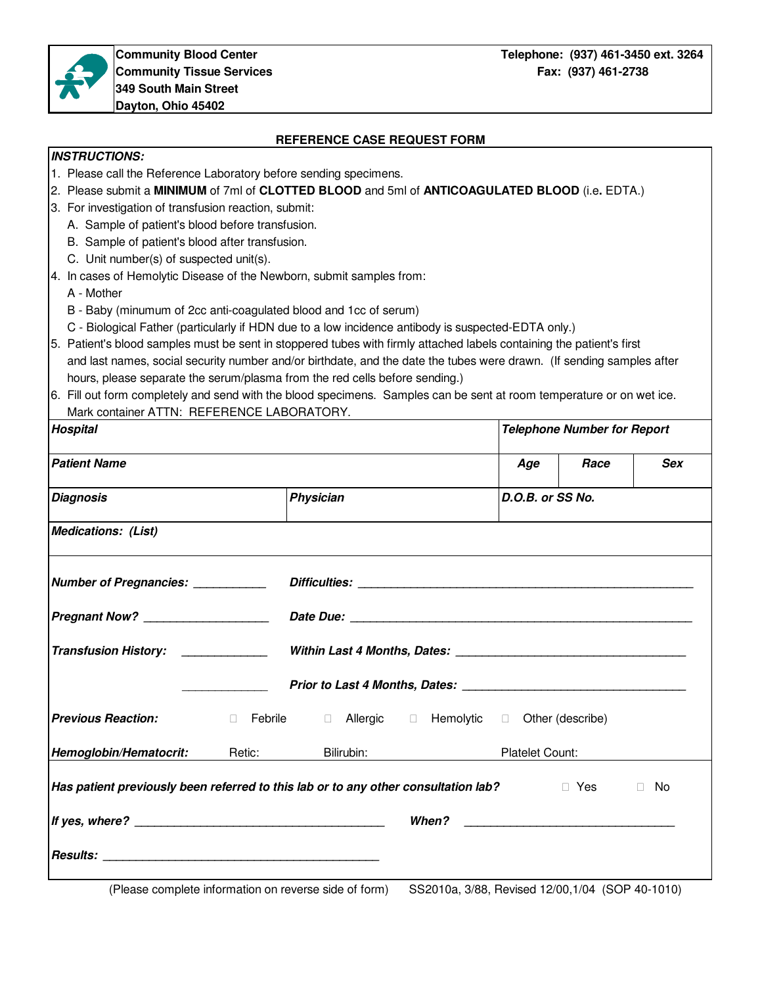

## **REFERENCE CASE REQUEST FORM**

## **INSTRUCTIONS:**

- 1. Please call the Reference Laboratory before sending specimens.
- 2. Please submit a **MINIMUM** of 7ml of **CLOTTED BLOOD** and 5ml of **ANTICOAGULATED BLOOD** (i.e**.** EDTA.)
- 3. For investigation of transfusion reaction, submit:
	- A. Sample of patient's blood before transfusion.
	- B. Sample of patient's blood after transfusion.
	- C. Unit number(s) of suspected unit(s).
- 4. In cases of Hemolytic Disease of the Newborn, submit samples from:

A - Mother

- B Baby (minumum of 2cc anti-coagulated blood and 1cc of serum)
- C Biological Father (particularly if HDN due to a low incidence antibody is suspected-EDTA only.)
- 5. Patient's blood samples must be sent in stoppered tubes with firmly attached labels containing the patient's first and last names, social security number and/or birthdate, and the date the tubes were drawn. (If sending samples after hours, please separate the serum/plasma from the red cells before sending.)
- 6. Fill out form completely and send with the blood specimens. Samples can be sent at room temperature or on wet ice. Mark container ATTN: REFERENCE LABORATORY.

| Hospital                                                                                             | <b>Telephone Number for Report</b> |                                     |                        |      |                  |    |  |  |  |
|------------------------------------------------------------------------------------------------------|------------------------------------|-------------------------------------|------------------------|------|------------------|----|--|--|--|
| <b>Patient Name</b>                                                                                  |                                    |                                     | Age                    | Race | <b>Sex</b>       |    |  |  |  |
| <b>Diagnosis</b>                                                                                     |                                    | Physician                           |                        |      | D.O.B. or SS No. |    |  |  |  |
| <b>Medications: (List)</b>                                                                           |                                    |                                     |                        |      |                  |    |  |  |  |
| Number of Pregnancies: _______________Difficulties: ____________________________                     |                                    |                                     |                        |      |                  |    |  |  |  |
| Pregnant Now? ______________________                                                                 |                                    |                                     |                        |      |                  |    |  |  |  |
| Transfusion History: ___________________Within Last 4 Months, Dates: _______________________________ |                                    |                                     |                        |      |                  |    |  |  |  |
|                                                                                                      |                                    |                                     |                        |      |                  |    |  |  |  |
| <b>Previous Reaction:</b>                                                                            | Febrile                            | Allergic Hemolytic Other (describe) |                        |      |                  |    |  |  |  |
| Hemoglobin/Hematocrit: Retic:                                                                        |                                    | Bilirubin:                          | <b>Platelet Count:</b> |      |                  |    |  |  |  |
| Has patient previously been referred to this lab or to any other consultation lab?                   |                                    |                                     |                        |      | Yes              | No |  |  |  |
|                                                                                                      |                                    |                                     |                        |      |                  |    |  |  |  |
|                                                                                                      |                                    |                                     |                        |      |                  |    |  |  |  |

(Please complete information on reverse side of form) SS2010a, 3/88, Revised 12/00,1/04 (SOP 40-1010)